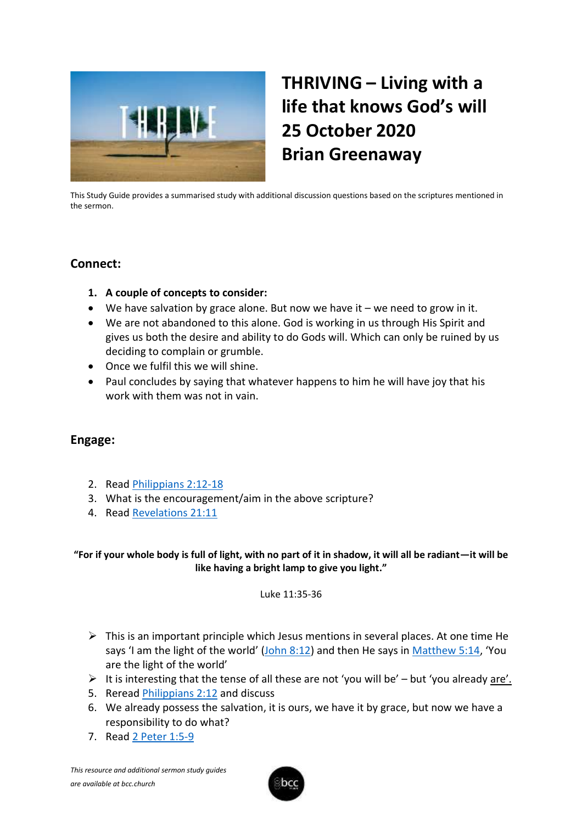

# **THRIVING – Living with a life that knows God's will 25 October 2020 Brian Greenaway**

This Study Guide provides a summarised study with additional discussion questions based on the scriptures mentioned in the sermon.

## **Connect:**

- **1. A couple of concepts to consider:**
- We have salvation by grace alone. But now we have it we need to grow in it.
- We are not abandoned to this alone. God is working in us through His Spirit and gives us both the desire and ability to do Gods will. Which can only be ruined by us deciding to complain or grumble.
- Once we fulfil this we will shine.
- Paul concludes by saying that whatever happens to him he will have joy that his work with them was not in vain.

## **Engage:**

- 2. Read [Philippians](https://www.biblegateway.com/passage/?search=Philippians+2%3A12-18&version=KJV) 2:12-18
- 3. What is the encouragement/aim in the above scripture?
- 4. Read [Revelations](https://www.biblegateway.com/passage/?search=Revelations+21%3A11&version=KJV) 21:11

## **"For if your whole body is full of light, with no part of it in shadow, it will all be radiant—it will be like having a bright lamp to give you light."**

### Luke 11:35-36

- $\triangleright$  This is an important principle which Jesus mentions in several places. At one time He says 'I am the light of the world' ([John 8:12\)](https://www.biblegateway.com/passage/?search=John+8%3A12&version=KJV) and then He says in [Matthew](https://www.biblegateway.com/passage/?search=Matthew+5%3A14&version=KJV) 5:14, 'You are the light of the world'
- $\triangleright$  It is interesting that the tense of all these are not 'you will be' but 'you already are'.
- 5. Reread [Philippians 2:12](https://www.biblegateway.com/passage/?search=Philippians+2%3A12+&version=KJV) and discuss
- 6. We already possess the salvation, it is ours, we have it by grace, but now we have a responsibility to do what?
- 7. Read [2 Peter 1:5-9](https://www.biblegateway.com/passage/?search=2+Peter+1%3A5-9&version=KJV)

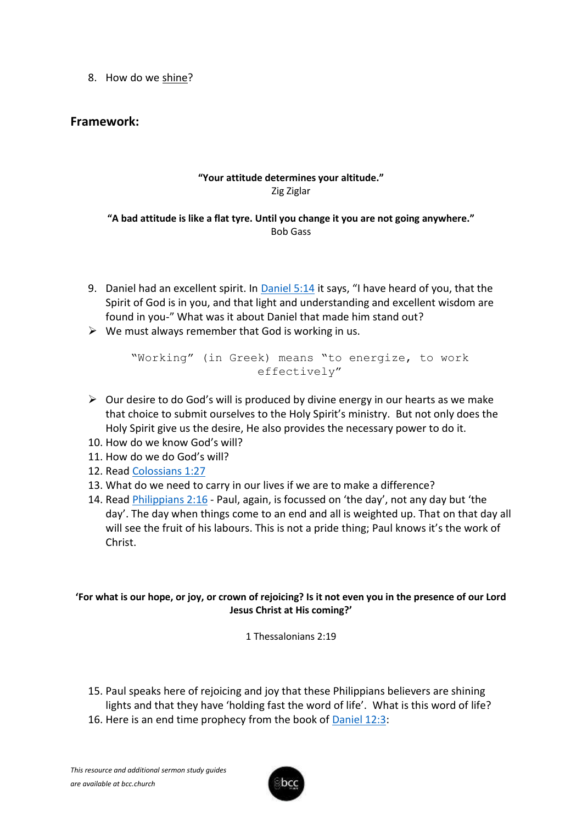8. How do we shine?

## **Framework:**

## **"Your attitude determines your altitude."** Zig Ziglar

### **"A bad attitude is like a flat tyre. Until you change it you are not going anywhere."** Bob Gass

- 9. Daniel had an excellent spirit. In [Daniel 5:14](https://www.biblegateway.com/passage/?search=Daniel+5%3A14&version=KJV) it says, "I have heard of you, that the Spirit of God is in you, and that light and understanding and excellent wisdom are found in you-" What was it about Daniel that made him stand out?
- $\triangleright$  We must always remember that God is working in us.

"Working" (in Greek) means "to energize, to work effectively"

- $\triangleright$  Our desire to do God's will is produced by divine energy in our hearts as we make that choice to submit ourselves to the Holy Spirit's ministry. But not only does the Holy Spirit give us the desire, He also provides the necessary power to do it.
- 10. How do we know God's will?
- 11. How do we do God's will?
- 12. Read [Colossians 1:27](https://www.biblegateway.com/passage/?search=Colossians+1%3A27&version=KJV)
- 13. What do we need to carry in our lives if we are to make a difference?
- 14. Read [Philippians 2:16](https://www.biblegateway.com/passage/?search=Philippians+2%3A16+&version=KJV) Paul, again, is focussed on 'the day', not any day but 'the day'. The day when things come to an end and all is weighted up. That on that day all will see the fruit of his labours. This is not a pride thing; Paul knows it's the work of Christ.

### **'For what is our hope, or joy, or crown of rejoicing? Is it not even you in the presence of our Lord Jesus Christ at His coming?'**

1 Thessalonians 2:19

- 15. Paul speaks here of rejoicing and joy that these Philippians believers are shining lights and that they have 'holding fast the word of life'. What is this word of life?
- 16. Here is an end time prophecy from the book of **Daniel 12:3:**